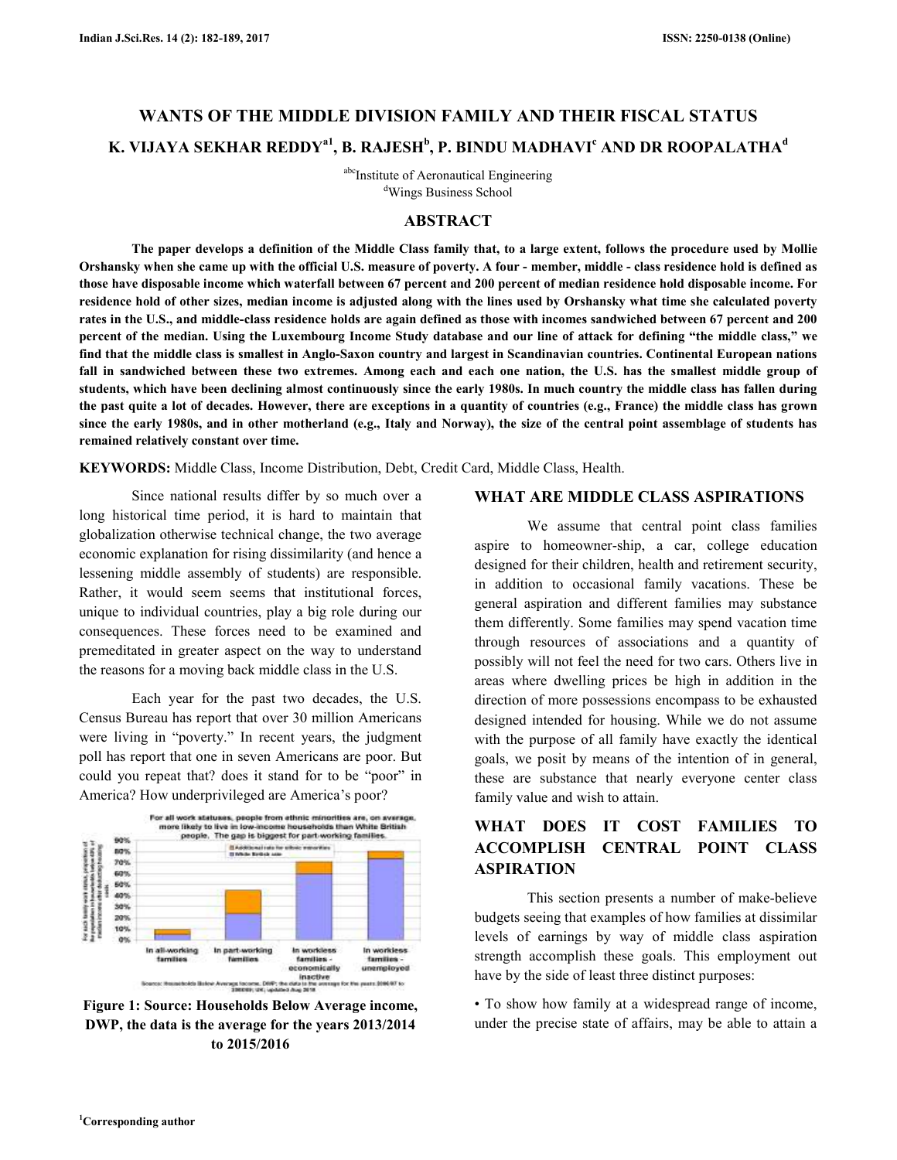# **WANTS OF THE MIDDLE DIVISION FAMILY AND THEIR FISCAL STATUS K. VIJAYA SEKHAR REDDYa1, B. RAJESH<sup>b</sup> , P. BINDU MADHAVI<sup>c</sup> AND DR ROOPALATHA<sup>d</sup>**

abc<sub>Institute</sub> of Aeronautical Engineering <sup>d</sup>Wings Business School

## **ABSTRACT**

**The paper develops a definition of the Middle Class family that, to a large extent, follows the procedure used by Mollie Orshansky when she came up with the official U.S. measure of poverty. A four - member, middle - class residence hold is defined as those have disposable income which waterfall between 67 percent and 200 percent of median residence hold disposable income. For residence hold of other sizes, median income is adjusted along with the lines used by Orshansky what time she calculated poverty rates in the U.S., and middle-class residence holds are again defined as those with incomes sandwiched between 67 percent and 200 percent of the median. Using the Luxembourg Income Study database and our line of attack for defining "the middle class," we find that the middle class is smallest in Anglo-Saxon country and largest in Scandinavian countries. Continental European nations**  fall in sandwiched between these two extremes. Among each and each one nation, the U.S. has the smallest middle group of **students, which have been declining almost continuously since the early 1980s. In much country the middle class has fallen during the past quite a lot of decades. However, there are exceptions in a quantity of countries (e.g., France) the middle class has grown since the early 1980s, and in other motherland (e.g., Italy and Norway), the size of the central point assemblage of students has remained relatively constant over time.** 

**KEYWORDS:** Middle Class, Income Distribution, Debt, Credit Card, Middle Class, Health.

 Since national results differ by so much over a long historical time period, it is hard to maintain that globalization otherwise technical change, the two average economic explanation for rising dissimilarity (and hence a lessening middle assembly of students) are responsible. Rather, it would seem seems that institutional forces, unique to individual countries, play a big role during our consequences. These forces need to be examined and premeditated in greater aspect on the way to understand the reasons for a moving back middle class in the U.S.

 Each year for the past two decades, the U.S. Census Bureau has report that over 30 million Americans were living in "poverty." In recent years, the judgment poll has report that one in seven Americans are poor. But could you repeat that? does it stand for to be "poor" in America? How underprivileged are America's poor?



**Figure 1: Source: Households Below Average income, DWP, the data is the average for the years 2013/2014 to 2015/2016** 

#### **WHAT ARE MIDDLE CLASS ASPIRATIONS**

 We assume that central point class families aspire to homeowner-ship, a car, college education designed for their children, health and retirement security, in addition to occasional family vacations. These be general aspiration and different families may substance them differently. Some families may spend vacation time through resources of associations and a quantity of possibly will not feel the need for two cars. Others live in areas where dwelling prices be high in addition in the direction of more possessions encompass to be exhausted designed intended for housing. While we do not assume with the purpose of all family have exactly the identical goals, we posit by means of the intention of in general, these are substance that nearly everyone center class family value and wish to attain.

## **WHAT DOES IT COST FAMILIES TO ACCOMPLISH CENTRAL POINT CLASS ASPIRATION**

 This section presents a number of make-believe budgets seeing that examples of how families at dissimilar levels of earnings by way of middle class aspiration strength accomplish these goals. This employment out have by the side of least three distinct purposes:

• To show how family at a widespread range of income, under the precise state of affairs, may be able to attain a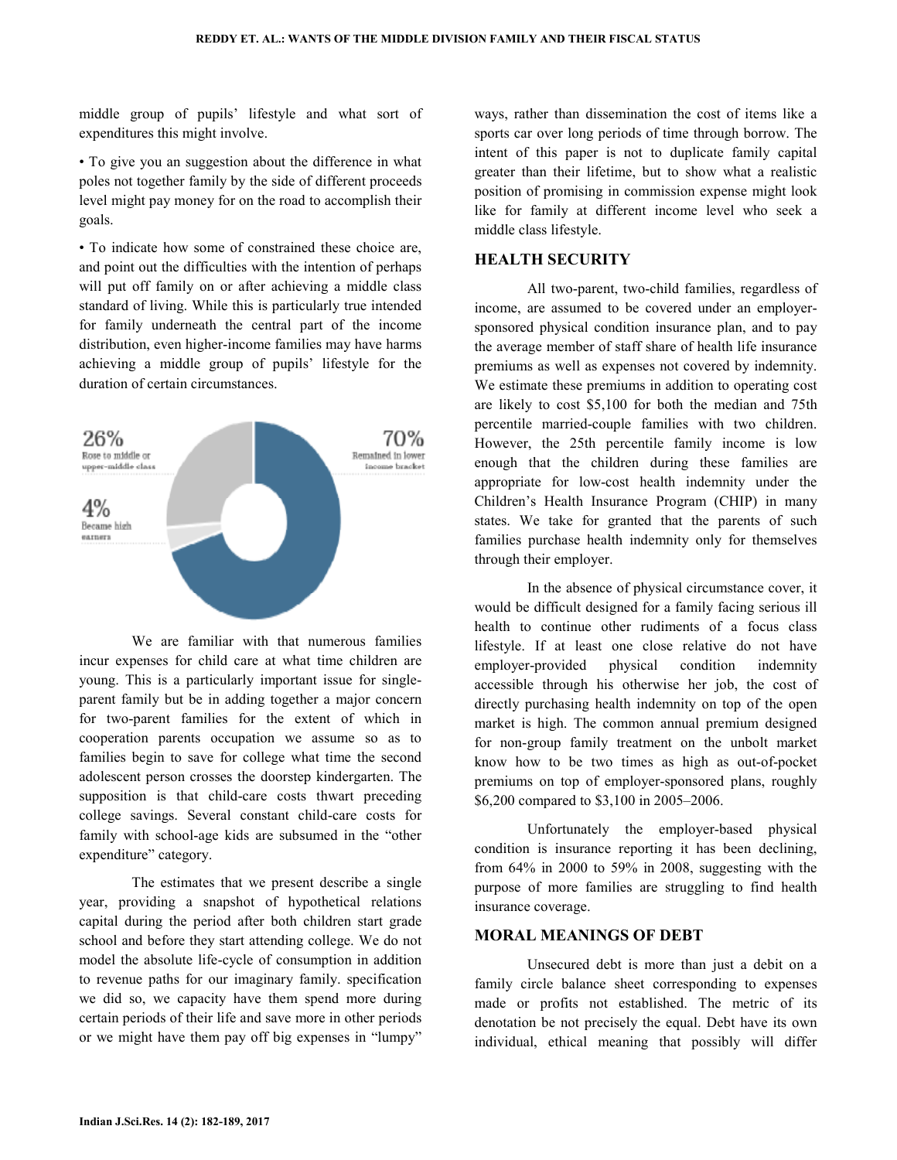middle group of pupils' lifestyle and what sort of expenditures this might involve.

• To give you an suggestion about the difference in what poles not together family by the side of different proceeds level might pay money for on the road to accomplish their goals.

• To indicate how some of constrained these choice are, and point out the difficulties with the intention of perhaps will put off family on or after achieving a middle class standard of living. While this is particularly true intended for family underneath the central part of the income distribution, even higher-income families may have harms achieving a middle group of pupils' lifestyle for the duration of certain circumstances.



We are familiar with that numerous families incur expenses for child care at what time children are young. This is a particularly important issue for singleparent family but be in adding together a major concern for two-parent families for the extent of which in cooperation parents occupation we assume so as to families begin to save for college what time the second adolescent person crosses the doorstep kindergarten. The supposition is that child-care costs thwart preceding college savings. Several constant child-care costs for family with school-age kids are subsumed in the "other expenditure" category.

 The estimates that we present describe a single year, providing a snapshot of hypothetical relations capital during the period after both children start grade school and before they start attending college. We do not model the absolute life-cycle of consumption in addition to revenue paths for our imaginary family. specification we did so, we capacity have them spend more during certain periods of their life and save more in other periods or we might have them pay off big expenses in "lumpy"

ways, rather than dissemination the cost of items like a sports car over long periods of time through borrow. The intent of this paper is not to duplicate family capital greater than their lifetime, but to show what a realistic position of promising in commission expense might look like for family at different income level who seek a middle class lifestyle.

#### **HEALTH SECURITY**

 All two-parent, two-child families, regardless of income, are assumed to be covered under an employersponsored physical condition insurance plan, and to pay the average member of staff share of health life insurance premiums as well as expenses not covered by indemnity. We estimate these premiums in addition to operating cost are likely to cost \$5,100 for both the median and 75th percentile married-couple families with two children. However, the 25th percentile family income is low enough that the children during these families are appropriate for low-cost health indemnity under the Children's Health Insurance Program (CHIP) in many states. We take for granted that the parents of such families purchase health indemnity only for themselves through their employer.

 In the absence of physical circumstance cover, it would be difficult designed for a family facing serious ill health to continue other rudiments of a focus class lifestyle. If at least one close relative do not have employer-provided physical condition indemnity accessible through his otherwise her job, the cost of directly purchasing health indemnity on top of the open market is high. The common annual premium designed for non-group family treatment on the unbolt market know how to be two times as high as out-of-pocket premiums on top of employer-sponsored plans, roughly \$6,200 compared to \$3,100 in 2005–2006.

 Unfortunately the employer-based physical condition is insurance reporting it has been declining, from 64% in 2000 to 59% in 2008, suggesting with the purpose of more families are struggling to find health insurance coverage.

#### **MORAL MEANINGS OF DEBT**

 Unsecured debt is more than just a debit on a family circle balance sheet corresponding to expenses made or profits not established. The metric of its denotation be not precisely the equal. Debt have its own individual, ethical meaning that possibly will differ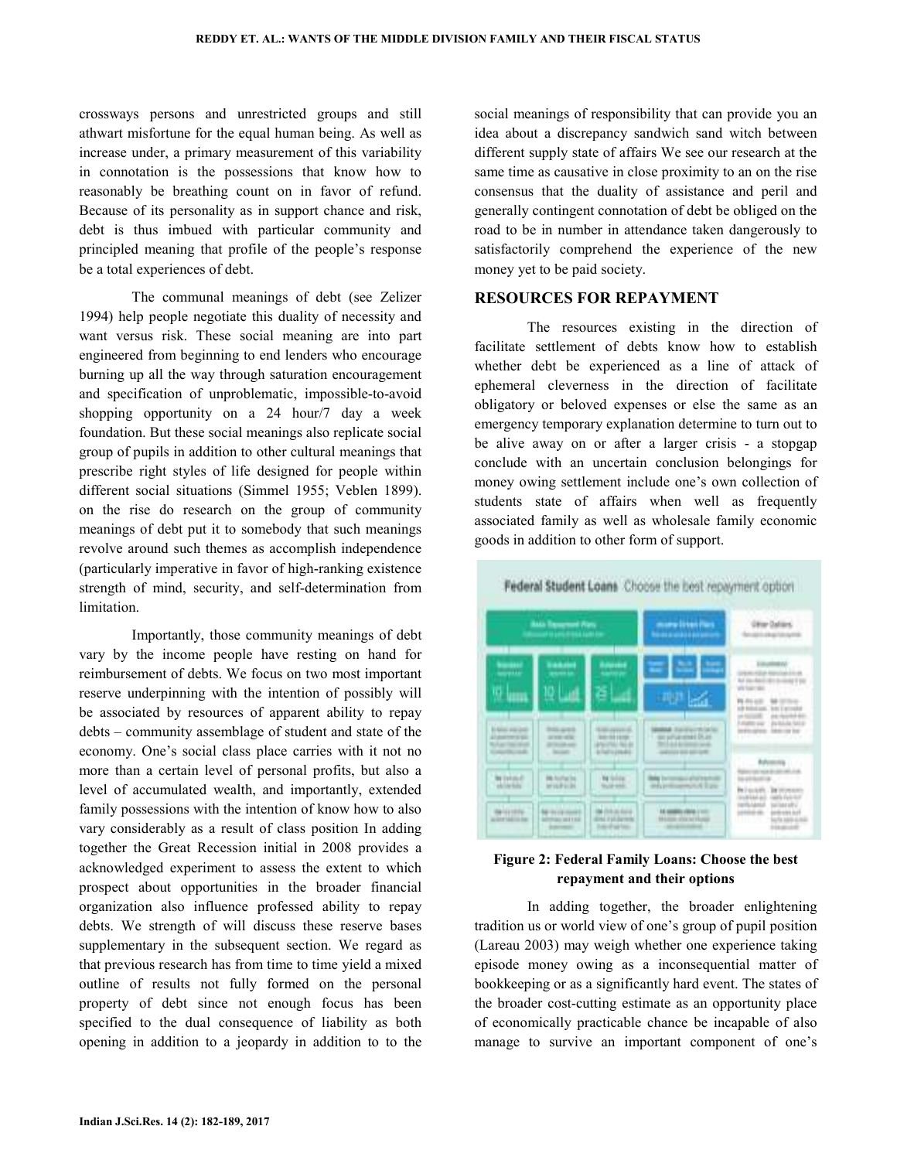crossways persons and unrestricted groups and still athwart misfortune for the equal human being. As well as increase under, a primary measurement of this variability in connotation is the possessions that know how to reasonably be breathing count on in favor of refund. Because of its personality as in support chance and risk, debt is thus imbued with particular community and principled meaning that profile of the people's response be a total experiences of debt.

 The communal meanings of debt (see Zelizer 1994) help people negotiate this duality of necessity and want versus risk. These social meaning are into part engineered from beginning to end lenders who encourage burning up all the way through saturation encouragement and specification of unproblematic, impossible-to-avoid shopping opportunity on a 24 hour/7 day a week foundation. But these social meanings also replicate social group of pupils in addition to other cultural meanings that prescribe right styles of life designed for people within different social situations (Simmel 1955; Veblen 1899). on the rise do research on the group of community meanings of debt put it to somebody that such meanings revolve around such themes as accomplish independence (particularly imperative in favor of high-ranking existence strength of mind, security, and self-determination from limitation.

 Importantly, those community meanings of debt vary by the income people have resting on hand for reimbursement of debts. We focus on two most important reserve underpinning with the intention of possibly will be associated by resources of apparent ability to repay debts – community assemblage of student and state of the economy. One's social class place carries with it not no more than a certain level of personal profits, but also a level of accumulated wealth, and importantly, extended family possessions with the intention of know how to also vary considerably as a result of class position In adding together the Great Recession initial in 2008 provides a acknowledged experiment to assess the extent to which prospect about opportunities in the broader financial organization also influence professed ability to repay debts. We strength of will discuss these reserve bases supplementary in the subsequent section. We regard as that previous research has from time to time yield a mixed outline of results not fully formed on the personal property of debt since not enough focus has been specified to the dual consequence of liability as both opening in addition to a jeopardy in addition to to the

social meanings of responsibility that can provide you an idea about a discrepancy sandwich sand witch between different supply state of affairs We see our research at the same time as causative in close proximity to an on the rise consensus that the duality of assistance and peril and generally contingent connotation of debt be obliged on the road to be in number in attendance taken dangerously to satisfactorily comprehend the experience of the new money yet to be paid society.

#### **RESOURCES FOR REPAYMENT**

 The resources existing in the direction of facilitate settlement of debts know how to establish whether debt be experienced as a line of attack of ephemeral cleverness in the direction of facilitate obligatory or beloved expenses or else the same as an emergency temporary explanation determine to turn out to be alive away on or after a larger crisis - a stopgap conclude with an uncertain conclusion belongings for money owing settlement include one's own collection of students state of affairs when well as frequently associated family as well as wholesale family economic goods in addition to other form of support.



### **Figure 2: Federal Family Loans: Choose the best repayment and their options**

 In adding together, the broader enlightening tradition us or world view of one's group of pupil position (Lareau 2003) may weigh whether one experience taking episode money owing as a inconsequential matter of bookkeeping or as a significantly hard event. The states of the broader cost-cutting estimate as an opportunity place of economically practicable chance be incapable of also manage to survive an important component of one's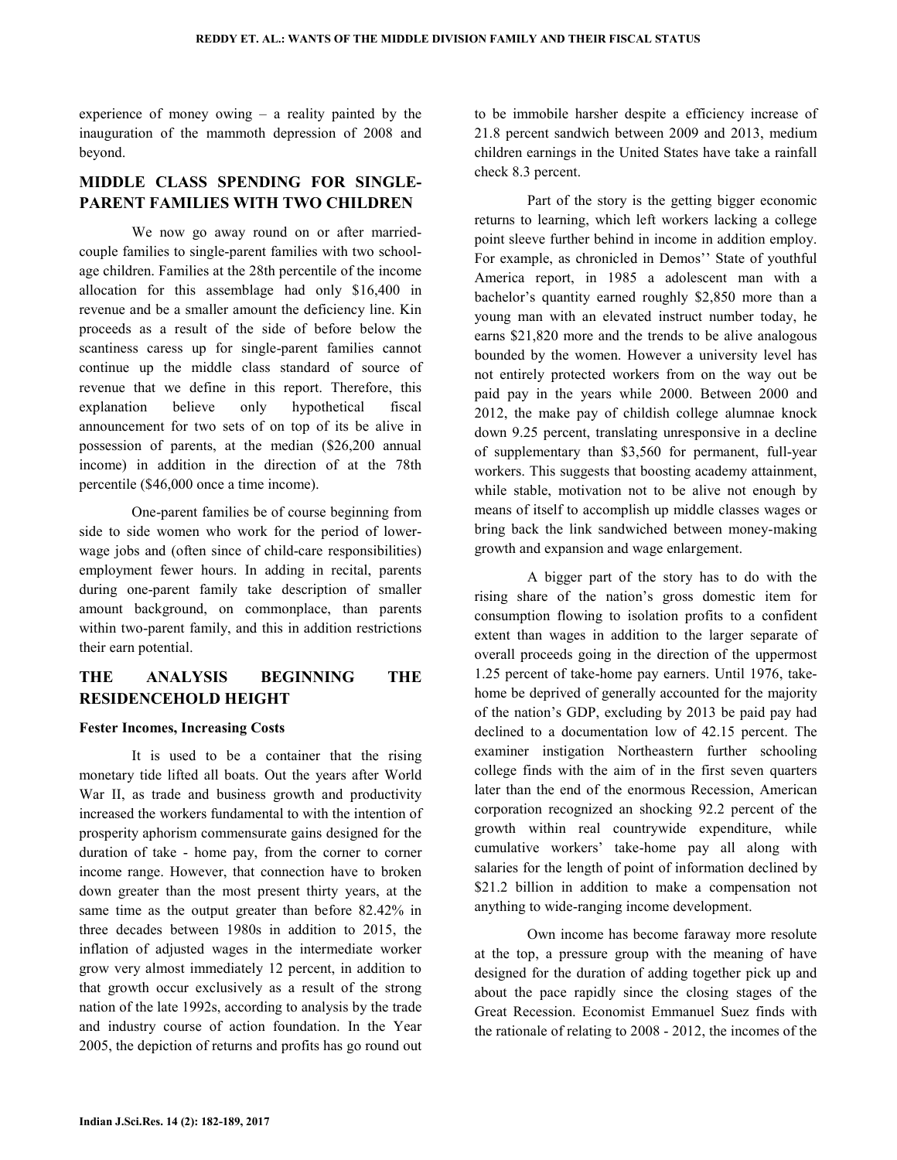experience of money owing – a reality painted by the inauguration of the mammoth depression of 2008 and beyond.

## **MIDDLE CLASS SPENDING FOR SINGLE-PARENT FAMILIES WITH TWO CHILDREN**

 We now go away round on or after marriedcouple families to single-parent families with two schoolage children. Families at the 28th percentile of the income allocation for this assemblage had only \$16,400 in revenue and be a smaller amount the deficiency line. Kin proceeds as a result of the side of before below the scantiness caress up for single-parent families cannot continue up the middle class standard of source of revenue that we define in this report. Therefore, this explanation believe only hypothetical fiscal announcement for two sets of on top of its be alive in possession of parents, at the median (\$26,200 annual income) in addition in the direction of at the 78th percentile (\$46,000 once a time income).

 One-parent families be of course beginning from side to side women who work for the period of lowerwage jobs and (often since of child-care responsibilities) employment fewer hours. In adding in recital, parents during one-parent family take description of smaller amount background, on commonplace, than parents within two-parent family, and this in addition restrictions their earn potential.

## **THE ANALYSIS BEGINNING THE RESIDENCEHOLD HEIGHT**

#### **Fester Incomes, Increasing Costs**

 It is used to be a container that the rising monetary tide lifted all boats. Out the years after World War II, as trade and business growth and productivity increased the workers fundamental to with the intention of prosperity aphorism commensurate gains designed for the duration of take - home pay, from the corner to corner income range. However, that connection have to broken down greater than the most present thirty years, at the same time as the output greater than before 82.42% in three decades between 1980s in addition to 2015, the inflation of adjusted wages in the intermediate worker grow very almost immediately 12 percent, in addition to that growth occur exclusively as a result of the strong nation of the late 1992s, according to analysis by the trade and industry course of action foundation. In the Year 2005, the depiction of returns and profits has go round out to be immobile harsher despite a efficiency increase of 21.8 percent sandwich between 2009 and 2013, medium children earnings in the United States have take a rainfall check 8.3 percent.

 Part of the story is the getting bigger economic returns to learning, which left workers lacking a college point sleeve further behind in income in addition employ. For example, as chronicled in Demos'' State of youthful America report, in 1985 a adolescent man with a bachelor's quantity earned roughly \$2,850 more than a young man with an elevated instruct number today, he earns \$21,820 more and the trends to be alive analogous bounded by the women. However a university level has not entirely protected workers from on the way out be paid pay in the years while 2000. Between 2000 and 2012, the make pay of childish college alumnae knock down 9.25 percent, translating unresponsive in a decline of supplementary than \$3,560 for permanent, full-year workers. This suggests that boosting academy attainment, while stable, motivation not to be alive not enough by means of itself to accomplish up middle classes wages or bring back the link sandwiched between money-making growth and expansion and wage enlargement.

 A bigger part of the story has to do with the rising share of the nation's gross domestic item for consumption flowing to isolation profits to a confident extent than wages in addition to the larger separate of overall proceeds going in the direction of the uppermost 1.25 percent of take-home pay earners. Until 1976, takehome be deprived of generally accounted for the majority of the nation's GDP, excluding by 2013 be paid pay had declined to a documentation low of 42.15 percent. The examiner instigation Northeastern further schooling college finds with the aim of in the first seven quarters later than the end of the enormous Recession, American corporation recognized an shocking 92.2 percent of the growth within real countrywide expenditure, while cumulative workers' take-home pay all along with salaries for the length of point of information declined by \$21.2 billion in addition to make a compensation not anything to wide-ranging income development.

 Own income has become faraway more resolute at the top, a pressure group with the meaning of have designed for the duration of adding together pick up and about the pace rapidly since the closing stages of the Great Recession. Economist Emmanuel Suez finds with the rationale of relating to 2008 - 2012, the incomes of the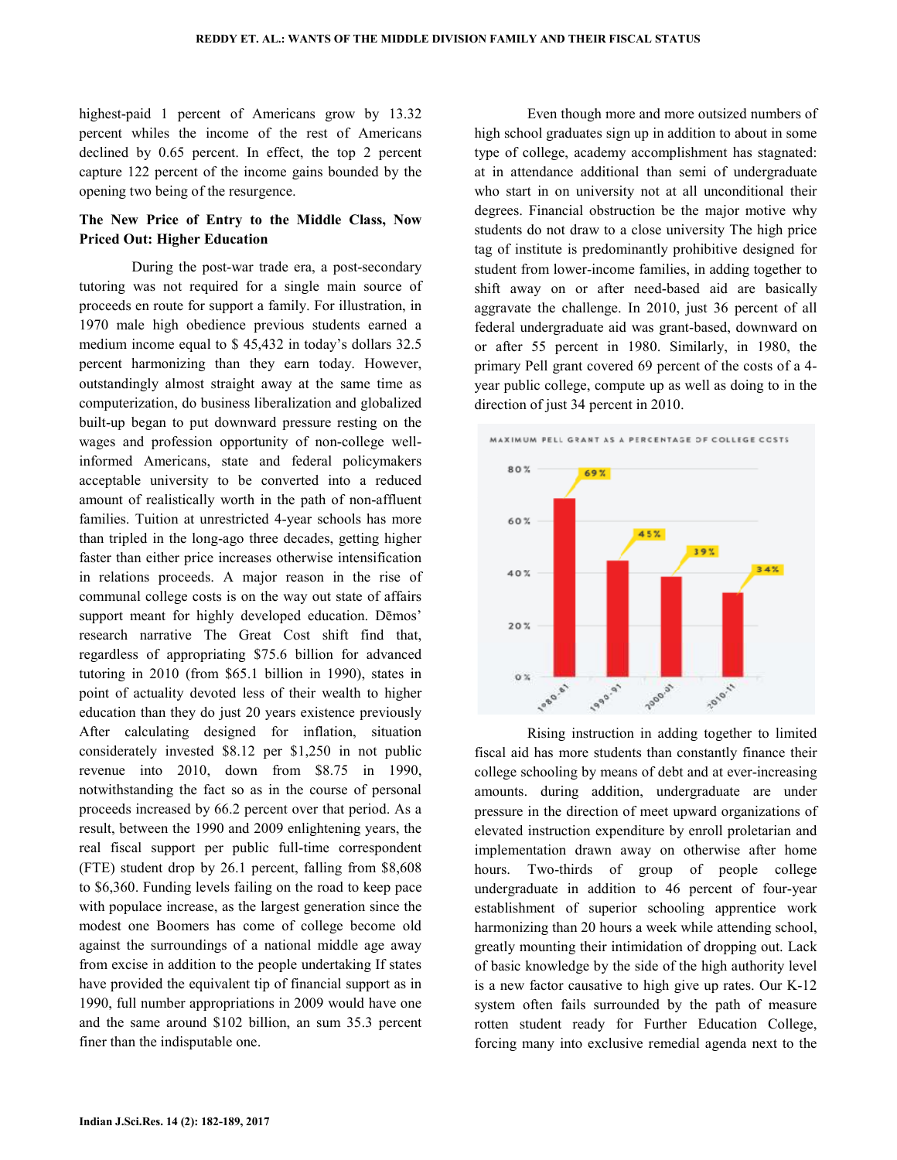highest-paid 1 percent of Americans grow by 13.32 percent whiles the income of the rest of Americans declined by 0.65 percent. In effect, the top 2 percent capture 122 percent of the income gains bounded by the opening two being of the resurgence.

### **The New Price of Entry to the Middle Class, Now Priced Out: Higher Education**

 During the post-war trade era, a post-secondary tutoring was not required for a single main source of proceeds en route for support a family. For illustration, in 1970 male high obedience previous students earned a medium income equal to \$ 45,432 in today's dollars 32.5 percent harmonizing than they earn today. However, outstandingly almost straight away at the same time as computerization, do business liberalization and globalized built-up began to put downward pressure resting on the wages and profession opportunity of non-college wellinformed Americans, state and federal policymakers acceptable university to be converted into a reduced amount of realistically worth in the path of non-affluent families. Tuition at unrestricted 4-year schools has more than tripled in the long-ago three decades, getting higher faster than either price increases otherwise intensification in relations proceeds. A major reason in the rise of communal college costs is on the way out state of affairs support meant for highly developed education. Dēmos' research narrative The Great Cost shift find that, regardless of appropriating \$75.6 billion for advanced tutoring in 2010 (from \$65.1 billion in 1990), states in point of actuality devoted less of their wealth to higher education than they do just 20 years existence previously After calculating designed for inflation, situation considerately invested \$8.12 per \$1,250 in not public revenue into 2010, down from \$8.75 in 1990, notwithstanding the fact so as in the course of personal proceeds increased by 66.2 percent over that period. As a result, between the 1990 and 2009 enlightening years, the real fiscal support per public full-time correspondent (FTE) student drop by 26.1 percent, falling from \$8,608 to \$6,360. Funding levels failing on the road to keep pace with populace increase, as the largest generation since the modest one Boomers has come of college become old against the surroundings of a national middle age away from excise in addition to the people undertaking If states have provided the equivalent tip of financial support as in 1990, full number appropriations in 2009 would have one and the same around \$102 billion, an sum 35.3 percent finer than the indisputable one.

 Even though more and more outsized numbers of high school graduates sign up in addition to about in some type of college, academy accomplishment has stagnated: at in attendance additional than semi of undergraduate who start in on university not at all unconditional their degrees. Financial obstruction be the major motive why students do not draw to a close university The high price tag of institute is predominantly prohibitive designed for student from lower-income families, in adding together to shift away on or after need-based aid are basically aggravate the challenge. In 2010, just 36 percent of all federal undergraduate aid was grant-based, downward on or after 55 percent in 1980. Similarly, in 1980, the primary Pell grant covered 69 percent of the costs of a 4 year public college, compute up as well as doing to in the direction of just 34 percent in 2010.



 Rising instruction in adding together to limited fiscal aid has more students than constantly finance their college schooling by means of debt and at ever-increasing amounts. during addition, undergraduate are under pressure in the direction of meet upward organizations of elevated instruction expenditure by enroll proletarian and implementation drawn away on otherwise after home hours. Two-thirds of group of people college undergraduate in addition to 46 percent of four-year establishment of superior schooling apprentice work harmonizing than 20 hours a week while attending school, greatly mounting their intimidation of dropping out. Lack of basic knowledge by the side of the high authority level is a new factor causative to high give up rates. Our K-12 system often fails surrounded by the path of measure rotten student ready for Further Education College, forcing many into exclusive remedial agenda next to the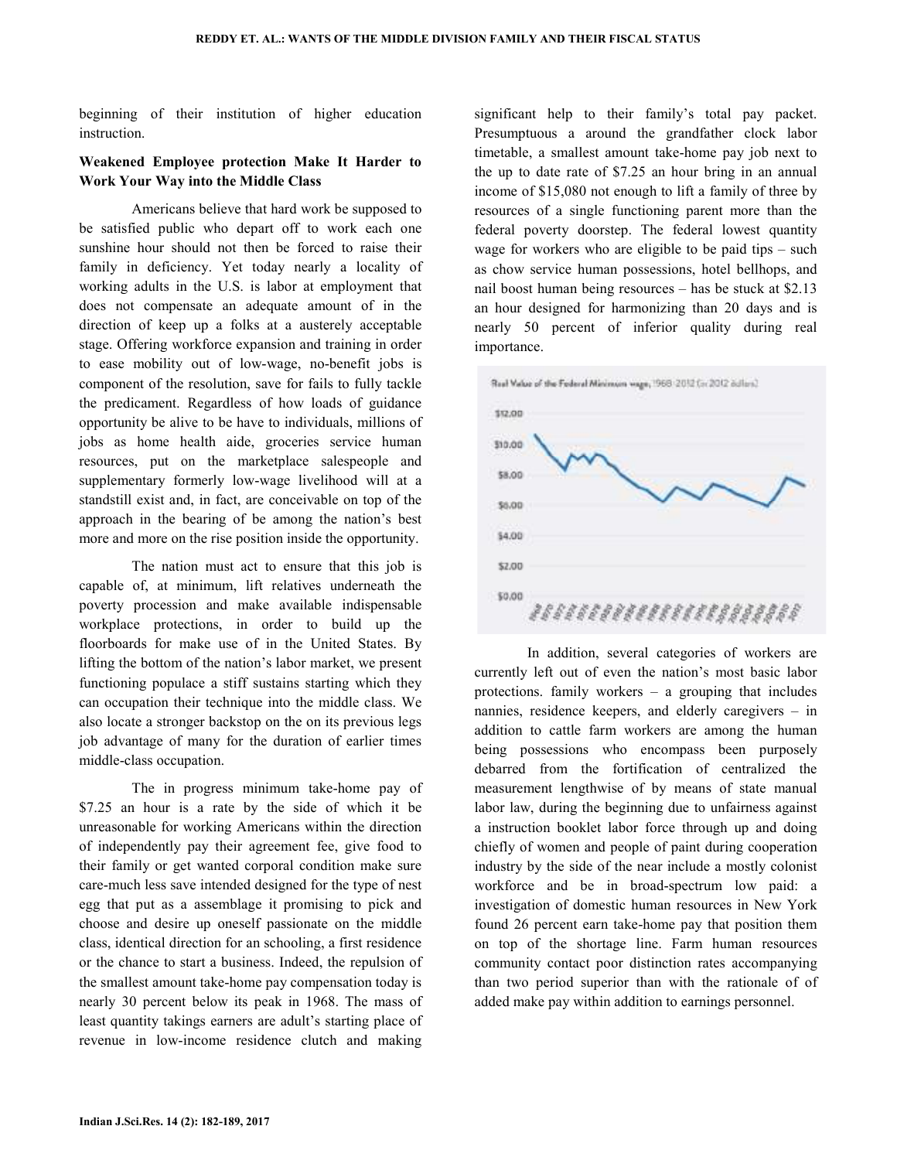beginning of their institution of higher education instruction.

### **Weakened Employee protection Make It Harder to Work Your Way into the Middle Class**

 Americans believe that hard work be supposed to be satisfied public who depart off to work each one sunshine hour should not then be forced to raise their family in deficiency. Yet today nearly a locality of working adults in the U.S. is labor at employment that does not compensate an adequate amount of in the direction of keep up a folks at a austerely acceptable stage. Offering workforce expansion and training in order to ease mobility out of low-wage, no-benefit jobs is component of the resolution, save for fails to fully tackle the predicament. Regardless of how loads of guidance opportunity be alive to be have to individuals, millions of jobs as home health aide, groceries service human resources, put on the marketplace salespeople and supplementary formerly low-wage livelihood will at a standstill exist and, in fact, are conceivable on top of the approach in the bearing of be among the nation's best more and more on the rise position inside the opportunity.

 The nation must act to ensure that this job is capable of, at minimum, lift relatives underneath the poverty procession and make available indispensable workplace protections, in order to build up the floorboards for make use of in the United States. By lifting the bottom of the nation's labor market, we present functioning populace a stiff sustains starting which they can occupation their technique into the middle class. We also locate a stronger backstop on the on its previous legs job advantage of many for the duration of earlier times middle-class occupation.

 The in progress minimum take-home pay of \$7.25 an hour is a rate by the side of which it be unreasonable for working Americans within the direction of independently pay their agreement fee, give food to their family or get wanted corporal condition make sure care-much less save intended designed for the type of nest egg that put as a assemblage it promising to pick and choose and desire up oneself passionate on the middle class, identical direction for an schooling, a first residence or the chance to start a business. Indeed, the repulsion of the smallest amount take-home pay compensation today is nearly 30 percent below its peak in 1968. The mass of least quantity takings earners are adult's starting place of revenue in low-income residence clutch and making significant help to their family's total pay packet. Presumptuous a around the grandfather clock labor timetable, a smallest amount take-home pay job next to the up to date rate of \$7.25 an hour bring in an annual income of \$15,080 not enough to lift a family of three by resources of a single functioning parent more than the federal poverty doorstep. The federal lowest quantity wage for workers who are eligible to be paid tips – such as chow service human possessions, hotel bellhops, and nail boost human being resources – has be stuck at \$2.13 an hour designed for harmonizing than 20 days and is nearly 50 percent of inferior quality during real importance.



 In addition, several categories of workers are currently left out of even the nation's most basic labor protections. family workers – a grouping that includes nannies, residence keepers, and elderly caregivers – in addition to cattle farm workers are among the human being possessions who encompass been purposely debarred from the fortification of centralized the measurement lengthwise of by means of state manual labor law, during the beginning due to unfairness against a instruction booklet labor force through up and doing chiefly of women and people of paint during cooperation industry by the side of the near include a mostly colonist workforce and be in broad-spectrum low paid: a investigation of domestic human resources in New York found 26 percent earn take-home pay that position them on top of the shortage line. Farm human resources community contact poor distinction rates accompanying than two period superior than with the rationale of of added make pay within addition to earnings personnel.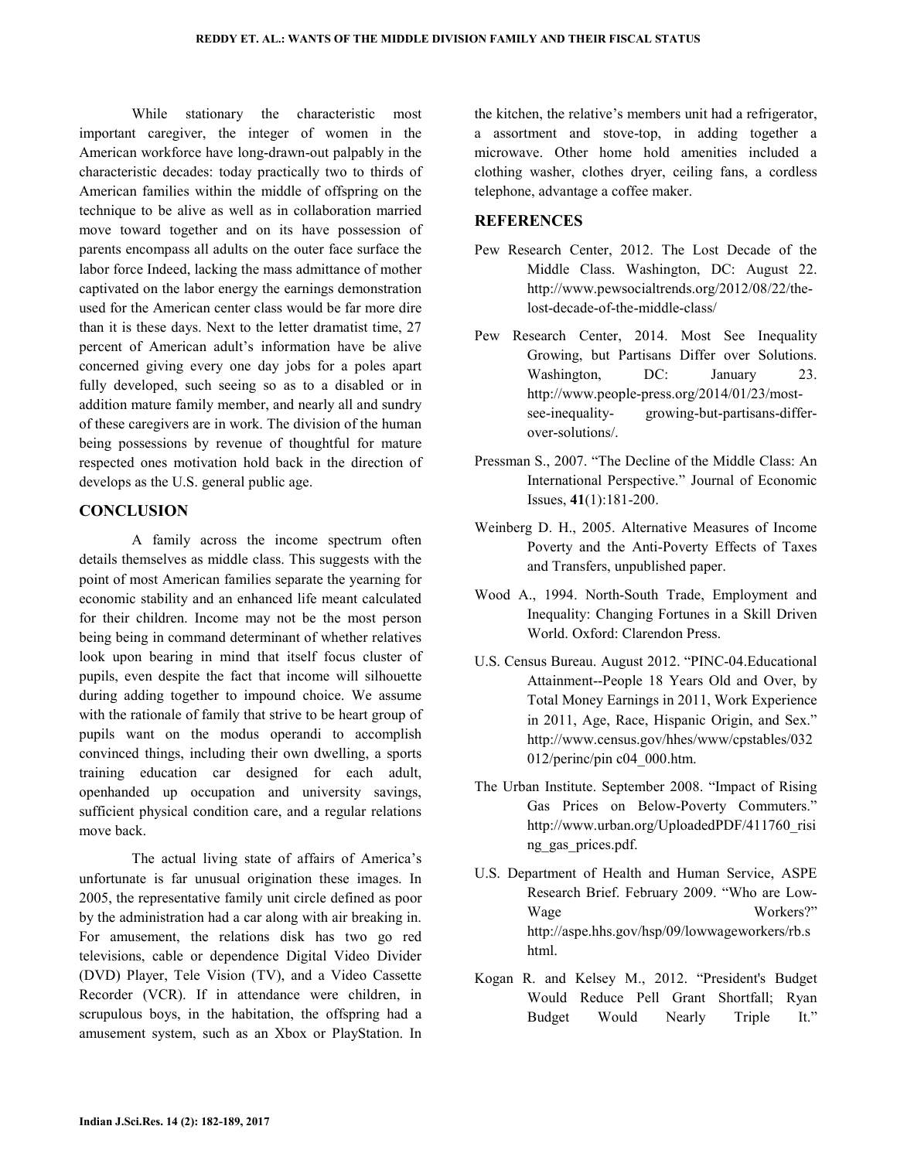While stationary the characteristic most important caregiver, the integer of women in the American workforce have long-drawn-out palpably in the characteristic decades: today practically two to thirds of American families within the middle of offspring on the technique to be alive as well as in collaboration married move toward together and on its have possession of parents encompass all adults on the outer face surface the labor force Indeed, lacking the mass admittance of mother captivated on the labor energy the earnings demonstration used for the American center class would be far more dire than it is these days. Next to the letter dramatist time, 27 percent of American adult's information have be alive concerned giving every one day jobs for a poles apart fully developed, such seeing so as to a disabled or in addition mature family member, and nearly all and sundry of these caregivers are in work. The division of the human being possessions by revenue of thoughtful for mature respected ones motivation hold back in the direction of develops as the U.S. general public age.

### **CONCLUSION**

 A family across the income spectrum often details themselves as middle class. This suggests with the point of most American families separate the yearning for economic stability and an enhanced life meant calculated for their children. Income may not be the most person being being in command determinant of whether relatives look upon bearing in mind that itself focus cluster of pupils, even despite the fact that income will silhouette during adding together to impound choice. We assume with the rationale of family that strive to be heart group of pupils want on the modus operandi to accomplish convinced things, including their own dwelling, a sports training education car designed for each adult, openhanded up occupation and university savings, sufficient physical condition care, and a regular relations move back.

 The actual living state of affairs of America's unfortunate is far unusual origination these images. In 2005, the representative family unit circle defined as poor by the administration had a car along with air breaking in. For amusement, the relations disk has two go red televisions, cable or dependence Digital Video Divider (DVD) Player, Tele Vision (TV), and a Video Cassette Recorder (VCR). If in attendance were children, in scrupulous boys, in the habitation, the offspring had a amusement system, such as an Xbox or PlayStation. In the kitchen, the relative's members unit had a refrigerator, a assortment and stove-top, in adding together a microwave. Other home hold amenities included a clothing washer, clothes dryer, ceiling fans, a cordless telephone, advantage a coffee maker.

## **REFERENCES**

- Pew Research Center, 2012. The Lost Decade of the Middle Class. Washington, DC: August 22. http://www.pewsocialtrends.org/2012/08/22/thelost-decade-of-the-middle-class/
- Pew Research Center, 2014. Most See Inequality Growing, but Partisans Differ over Solutions. Washington, DC: January 23. http://www.people-press.org/2014/01/23/mostsee-inequality- growing-but-partisans-differover-solutions/.
- Pressman S., 2007. "The Decline of the Middle Class: An International Perspective." Journal of Economic Issues, **41**(1):181-200.
- Weinberg D. H., 2005. Alternative Measures of Income Poverty and the Anti-Poverty Effects of Taxes and Transfers, unpublished paper.
- Wood A., 1994. North-South Trade, Employment and Inequality: Changing Fortunes in a Skill Driven World. Oxford: Clarendon Press.
- U.S. Census Bureau. August 2012. "PINC-04.Educational Attainment--People 18 Years Old and Over, by Total Money Earnings in 2011, Work Experience in 2011, Age, Race, Hispanic Origin, and Sex." http://www.census.gov/hhes/www/cpstables/032 012/perinc/pin c04\_000.htm.
- The Urban Institute. September 2008. "Impact of Rising Gas Prices on Below-Poverty Commuters." http://www.urban.org/UploadedPDF/411760\_risi ng\_gas\_prices.pdf.
- U.S. Department of Health and Human Service, ASPE Research Brief. February 2009. "Who are Low-Wage Workers?" http://aspe.hhs.gov/hsp/09/lowwageworkers/rb.s html.
- Kogan R. and Kelsey M., 2012. "President's Budget Would Reduce Pell Grant Shortfall; Ryan Budget Would Nearly Triple It."